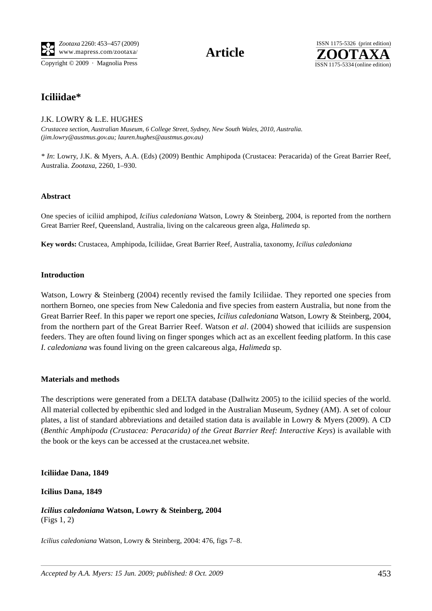Copyright © 2009 · Magnolia Press ISSN 1175-5334 (online edition)



# **Iciliidae\***

## J.K. LOWRY & L.E. HUGHES

*Crustacea section, Australian Museum, 6 College Street, Sydney, New South Wales, 2010, Australia. (jim.lowry@austmus.gov.au; lauren.hughes@austmus.gov.au)* 

*\* In*: Lowry, J.K. & Myers, A.A. (Eds) (2009) Benthic Amphipoda (Crustacea: Peracarida) of the Great Barrier Reef, Australia. *Zootaxa*, 2260, 1–930.

### **Abstract**

One species of iciliid amphipod, *Icilius caledoniana* Watson, Lowry & Steinberg, 2004, is reported from the northern Great Barrier Reef, Queensland, Australia, living on the calcareous green alga, *Halimeda* sp.

**Key words:** Crustacea, Amphipoda, Iciliidae, Great Barrier Reef, Australia, taxonomy, *Icilius caledoniana*

### **Introduction**

Watson, Lowry & Steinberg (2004) recently revised the family Iciliidae. They reported one species from northern Borneo, one species from New Caledonia and five species from eastern Australia, but none from the Great Barrier Reef. In this paper we report one species, *Icilius caledoniana* Watson, Lowry & Steinberg, 2004, from the northern part of the Great Barrier Reef. Watson *et al*. (2004) showed that iciliids are suspension feeders. They are often found living on finger sponges which act as an excellent feeding platform. In this case *I. caledoniana* was found living on the green calcareous alga, *Halimeda* sp.

### **Materials and methods**

The descriptions were generated from a DELTA database (Dallwitz 2005) to the iciliid species of the world. All material collected by epibenthic sled and lodged in the Australian Museum, Sydney (AM). A set of colour plates, a list of standard abbreviations and detailed station data is available in Lowry & Myers (2009). A CD (*Benthic Amphipoda (Crustacea: Peracarida) of the Great Barrier Reef: Interactive Keys*) is available with the book or the keys can be accessed at the crustacea.net website.

### **Iciliidae Dana, 1849**

### **Icilius Dana, 1849**

*Icilius caledoniana* **Watson, Lowry & Steinberg, 2004**  (Figs 1, 2)

*Icilius caledoniana* Watson, Lowry & Steinberg, 2004: 476, figs 7–8.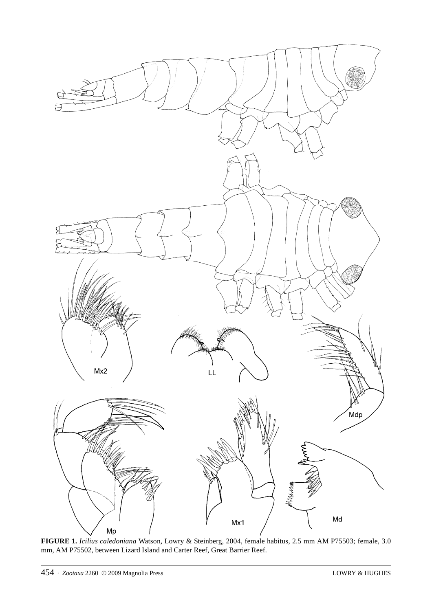

**FIGURE 1.** *Icilius caledoniana* Watson, Lowry & Steinberg, 2004, female habitus, 2.5 mm AM P75503; female, 3.0 mm, AM P75502, between Lizard Island and Carter Reef, Great Barrier Reef.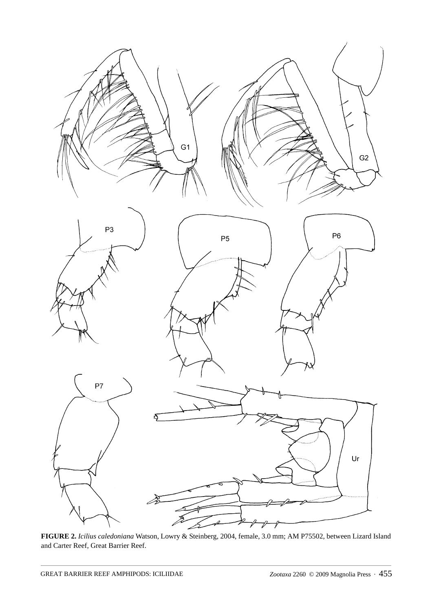

**FIGURE 2.** *Icilius caledoniana* Watson, Lowry & Steinberg, 2004, female, 3.0 mm; AM P75502, between Lizard Island and Carter Reef, Great Barrier Reef.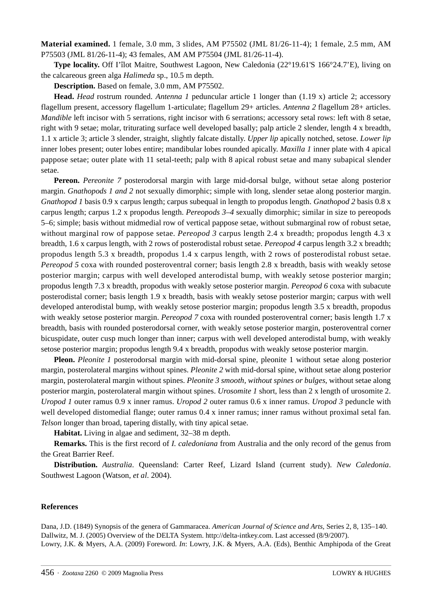**Material examined.** 1 female, 3.0 mm, 3 slides, AM P75502 (JML 81/26-11-4); 1 female, 2.5 mm, AM P75503 (JML 81/26-11-4); 43 females, AM AM P75504 (JML 81/26-11-4).

**Type locality.** Off I'îlot Maitre, Southwest Lagoon, New Caledonia (22°19.61'S 166°24.7'E), living on the calcareous green alga *Halimeda* sp., 10.5 m depth.

**Description.** Based on female, 3.0 mm, AM P75502.

**Head.** *Head* rostrum rounded. *Antenna 1* peduncular article 1 longer than (1.19 x) article 2; accessory flagellum present, accessory flagellum 1-articulate; flagellum 29+ articles. *Antenna 2* flagellum 28+ articles. *Mandible* left incisor with 5 serrations, right incisor with 6 serrations; accessory setal rows: left with 8 setae, right with 9 setae; molar, triturating surface well developed basally; palp article 2 slender, length 4 x breadth, 1.1 x article 3; article 3 slender, straight, slightly falcate distally. *Upper lip* apically notched, setose. *Lower lip*  inner lobes present; outer lobes entire; mandibular lobes rounded apically. *Maxilla 1* inner plate with 4 apical pappose setae; outer plate with 11 setal-teeth; palp with 8 apical robust setae and many subapical slender setae.

**Pereon.** *Pereonite 7* posterodorsal margin with large mid-dorsal bulge, without setae along posterior margin. *Gnathopods 1 and 2* not sexually dimorphic; simple with long, slender setae along posterior margin. *Gnathopod 1* basis 0.9 x carpus length; carpus subequal in length to propodus length. *Gnathopod 2* basis 0.8 x carpus length; carpus 1.2 x propodus length. *Pereopods 3–4* sexually dimorphic; similar in size to pereopods 5–6; simple; basis without midmedial row of vertical pappose setae, without submarginal row of robust setae, without marginal row of pappose setae. *Pereopod 3* carpus length 2.4 x breadth; propodus length 4.3 x breadth, 1.6 x carpus length, with 2 rows of posterodistal robust setae. *Pereopod 4* carpus length 3.2 x breadth; propodus length 5.3 x breadth, propodus 1.4 x carpus length, with 2 rows of posterodistal robust setae. *Pereopod 5* coxa with rounded posteroventral corner; basis length 2.8 x breadth, basis with weakly setose posterior margin; carpus with well developed anterodistal bump, with weakly setose posterior margin; propodus length 7.3 x breadth, propodus with weakly setose posterior margin. *Pereopod 6* coxa with subacute posterodistal corner; basis length 1.9 x breadth, basis with weakly setose posterior margin; carpus with well developed anterodistal bump, with weakly setose posterior margin; propodus length 3.5 x breadth, propodus with weakly setose posterior margin. *Pereopod* 7 coxa with rounded posteroventral corner; basis length 1.7 x breadth, basis with rounded posterodorsal corner, with weakly setose posterior margin, posteroventral corner bicuspidate, outer cusp much longer than inner; carpus with well developed anterodistal bump, with weakly setose posterior margin; propodus length 9.4 x breadth, propodus with weakly setose posterior margin.

**Pleon.** *Pleonite 1* posterodorsal margin with mid-dorsal spine, pleonite 1 without setae along posterior margin, posterolateral margins without spines. *Pleonite 2* with mid-dorsal spine, without setae along posterior margin, posterolateral margin without spines. *Pleonite 3 smooth, without spines or bulges*, without setae along posterior margin, posterolateral margin without spines. *Urosomite 1* short, less than 2 x length of urosomite 2. *Uropod 1* outer ramus 0.9 x inner ramus. *Uropod 2* outer ramus 0.6 x inner ramus. *Uropod 3* peduncle with well developed distomedial flange; outer ramus 0.4 x inner ramus; inner ramus without proximal setal fan. *Telson* longer than broad, tapering distally, with tiny apical setae.

**Habitat.** Living in algae and sediment, 32–38 m depth.

**Remarks.** This is the first record of *I. caledoniana* from Australia and the only record of the genus from the Great Barrier Reef.

**Distribution.** *Australia*. Queensland: Carter Reef, Lizard Island (current study). *New Caledonia*. Southwest Lagoon (Watson, *et al*. 2004).

#### **References**

Dana, J.D. (1849) Synopsis of the genera of Gammaracea. *American Journal of Science and Arts,* Series 2, 8, 135–140. Dallwitz, M. J. (2005) Overview of the DELTA System. http://delta-intkey.com. Last accessed (8/9/2007). Lowry, J.K. & Myers, A.A. (2009) Foreword. *In*: Lowry, J.K. & Myers, A.A. (Eds), Benthic Amphipoda of the Great